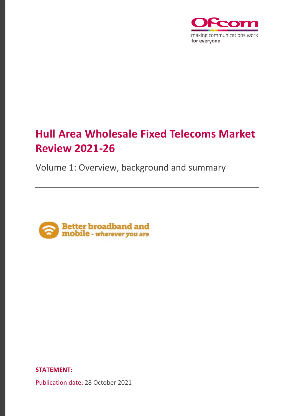

# **Hull Area Wholesale Fixed Telecoms Market Review 2021-26**

Volume 1: Overview, background and summary



**STATEMENT:** 

Publication date: 28 October 2021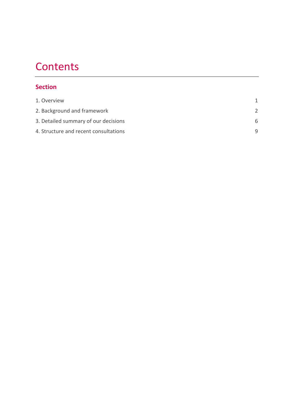# **Contents**

## **Section**

| 1. Overview                           |   |
|---------------------------------------|---|
| 2. Background and framework           |   |
| 3. Detailed summary of our decisions  | 6 |
| 4. Structure and recent consultations | q |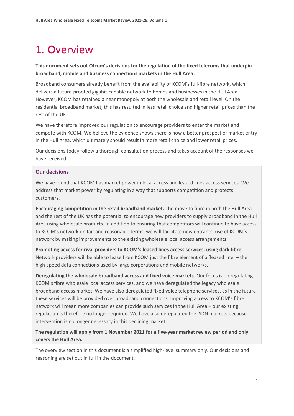# <span id="page-2-0"></span>1. Overview

### **This document sets out Ofcom's decisions for the regulation of the fixed telecoms that underpin broadband, mobile and business connections markets in the Hull Area.**

Broadband consumers already benefit from the availability of KCOM's full-fibre network, which delivers a future-proofed gigabit-capable network to homes and businesses in the Hull Area. However, KCOM has retained a near monopoly at both the wholesale and retail level. On the residential broadband market, this has resulted in less retail choice and higher retail prices than the rest of the UK.

We have therefore improved our regulation to encourage providers to enter the market and compete with KCOM. We believe the evidence shows there is now a better prospect of market entry in the Hull Area, which ultimately should result in more retail choice and lower retail prices.

Our decisions today follow a thorough consultation process and takes account of the responses we have received.

#### **Our decisions**

We have found that KCOM has market power in local access and leased lines access services. We address that market power by regulating in a way that supports competition and protects customers.

**Encouraging competition in the retail broadband market.** The move to fibre in both the Hull Area and the rest of the UK has the potential to encourage new providers to supply broadband in the Hull Area using wholesale products. In addition to ensuring that competitors will continue to have access to KCOM's network on fair and reasonable terms, we will facilitate new entrants' use of KCOM's network by making improvements to the existing wholesale local access arrangements.

**Promoting access for rival providers to KCOM's leased lines access services, using dark fibre.**  Network providers will be able to lease from KCOM just the fibre element of a 'leased line' – the high-speed data connections used by large corporations and mobile networks.

**Deregulating the wholesale broadband access and fixed voice markets.** Our focus is on regulating KCOM's fibre wholesale local access services, and we have deregulated the legacy wholesale broadband access market. We have also deregulated fixed voice telephone services, as in the future these services will be provided over broadband connections. Improving access to KCOM's fibre network will mean more companies can provide such services in the Hull Area – our existing regulation is therefore no longer required. We have also deregulated the ISDN markets because intervention is no longer necessary in this declining market.

### **The regulation will apply from 1 November 2021 for a five-year market review period and only covers the Hull Area.**

The overview section in this document is a simplified high-level summary only. Our decisions and reasoning are set out in full in the document.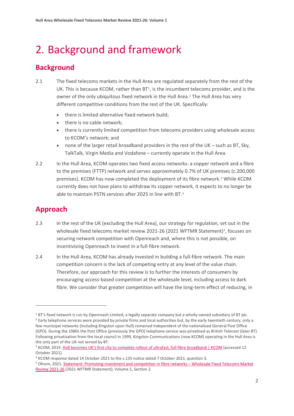# <span id="page-3-0"></span>2. Background and framework

## **Background**

- 2.1 The fixed telecoms markets in the Hull Area are regulated separately from the rest of the UK. This is because KCOM, rather than  $BT^1$  $BT^1$ , is the incumbent telecoms provider, and is the owner of the only ubiquitous fixed network in the Hull Area.<sup>[2](#page-3-2)</sup> The Hull Area has very different competitive conditions from the rest of the UK. Specifically:
	- there is limited alternative fixed network build;
	- there is no cable network;
	- there is currently limited competition from telecoms providers using wholesale access to KCOM's network; and
	- none of the larger retail broadband providers in the rest of the UK such as BT, Sky, TalkTalk, Virgin Media and Vodafone – currently operate in the Hull Area.
- 2.2 In the Hull Area, KCOM operates two fixed access networks: a copper network and a fibre to the premises (FTTP) network and serves approximately 0.7% of UK premises (c.200,000 premises). KCOM has now completed the deployment of its fibre network.[3](#page-3-3) While KCOM currently does not have plans to withdraw its copper network, it expects to no longer be able to maintain PSTN services after 2025 in line with BT.[4](#page-3-4)

## **Approach**

- 2.3 In the rest of the UK (excluding the Hull Area), our strategy for regulation, set out in the wholesale fixed telecoms market review 2021-26 (2021 WFTMR Statement)<sup>[5](#page-3-5)</sup>, focuses on securing network competition with Openreach and, where this is not possible, on incentivising Openreach to invest in a full-fibre network.
- 2.4 In the Hull Area, KCOM has already invested in building a full-fibre network. The main competition concern is the lack of competing entry at any level of the value chain. Therefore, our approach for this review is to further the interests of consumers by encouraging access-based competition at the wholesale level, including access to dark fibre. We consider that greater competition will have the long-term effect of reducing, in

<span id="page-3-2"></span><span id="page-3-1"></span> $18$  BT's fixed network is run by Openreach Limited, a legally separate company but a wholly owned subsidiary of BT plc.<br>
I Barly telephone services were provided by private firms and local authorities but, by the early t few municipal networks (including Kingston upon Hull) remained independent of the nationalised General Post Office (GPO). During the 1980s the Post Office (previously the GPO) telephone service was privatised as British Telecom (later BT). Following privatisation from the local council in 1999, Kingston Communications (now KCOM) operating in the Hull Area is

<span id="page-3-3"></span>the only part of the UK not served by BT.<br><sup>3</sup> KCOM, 2019. [Hull becomes UK's first city to complete rollout of ultrafast, full fibre broadband | KCOM](https://www.kcom.com/news/hull-becomes-uk-s-first-city-to-complete-rollout-of-ultrafast-full-fibre-broadband/) [accessed 12 October 2021].<br><sup>4</sup> KCOM response dated 14 October 2021 to the s.135 notice dated 7 October 2021, question 3.<br><sup>5</sup> Ofcom, 2021. <u>Statement: Promoting investment and competition in fibre networks – Wholesale Fixed Telecoms Ma</u>

<span id="page-3-4"></span>

<span id="page-3-5"></span>[Review 2021-26](https://www.ofcom.org.uk/consultations-and-statements/category-1/2021-26-wholesale-fixed-telecoms-market-review) (2021 WFTMR Statement), Volume 1, Section 2.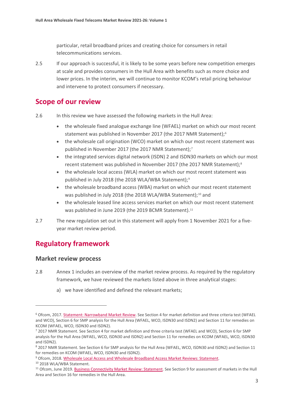particular, retail broadband prices and creating choice for consumers in retail telecommunications services.

2.5 If our approach is successful, it is likely to be some years before new competition emerges at scale and provides consumers in the Hull Area with benefits such as more choice and lower prices. In the interim, we will continue to monitor KCOM's retail pricing behaviour and intervene to protect consumers if necessary.

## **Scope of our review**

- 2.6 In this review we have assessed the following markets in the Hull Area:
	- the wholesale fixed analogue exchange line (WFAEL) market on which our most recent statement was published in November 2017 (the 2017 NMR Statement);<sup>[6](#page-4-0)</sup>
	- the wholesale call origination (WCO) market on which our most recent statement was published in November 2017 (the 2017 NMR Statement);[7](#page-4-1)
	- the integrated services digital network (ISDN) 2 and ISDN30 markets on which our most recent statement was published in November 2017 (the 2017 NMR Statement);<sup>[8](#page-4-2)</sup>
	- the wholesale local access (WLA) market on which our most recent statement was published in July 2018 (the 2018 WLA/WBA Statement);<sup>[9](#page-4-3)</sup>
	- the wholesale broadband access (WBA) market on which our most recent statement was published in July 2018 (the 2018 WLA/WBA Statement);<sup>[10](#page-4-4)</sup> and
	- the wholesale leased line access services market on which our most recent statement was published in June 2019 (the 2019 BCMR Statement).<sup>[11](#page-4-5)</sup>
- 2.7 The new regulation set out in this statement will apply from 1 November 2021 for a fiveyear market review period.

## **Regulatory framework**

#### **Market review process**

- 2.8 Annex 1 includes an overview of the market review process. As required by the regulatory framework, we have reviewed the markets listed above in three analytical stages:
	- a) we have identified and defined the relevant markets;

<span id="page-4-0"></span><sup>6</sup> Ofcom, 2017[. Statement: Narrowband Market Review.](https://www.ofcom.org.uk/__data/assets/pdf_file/0020/108353/final-statement-narrowband-market-review.pdf) See Section 4 for market definition and three criteria test (WFAEL and WCO), Section 6 for SMP analysis for the Hull Area (WFAEL, WCO, ISDN30 and ISDN2) and Section 11 for remedies on KCOM (WFAEL, WCO, ISDN30 and ISDN2).

<span id="page-4-1"></span><sup>7</sup> 2017 NMR Statement. See Section 4 for market definition and three criteria test (WFAEL and WCO), Section 6 for SMP analysis for the Hull Area (WFAEL, WCO, ISDN30 and ISDN2) and Section 11 for remedies on KCOM (WFAEL, WCO, ISDN30 and ISDN2).

<span id="page-4-2"></span><sup>8</sup> 2017 NMR Statement. See Section 6 for SMP analysis for the Hull Area (WFAEL, WCO, ISDN30 and ISDN2) and Section 11 for remedies on KCOM (WFAEL, WCO, ISDN30 and ISDN2).

<span id="page-4-4"></span><span id="page-4-3"></span><sup>&</sup>lt;sup>9</sup> Ofcom, 2018. Wholesale Local Access and Wholesale Broadband Access Market Reviews: Statement.<br><sup>10</sup> 2018 WLA/WBA Statement.

<span id="page-4-5"></span><sup>&</sup>lt;sup>11</sup> Ofcom, June 2019[. Business Connectivity Market Review: Statement.](https://www.ofcom.org.uk/__data/assets/pdf_file/0025/154591/volume-2-bcmr-final-statement.pdf) See Section 9 for assessment of markets in the Hull Area and Section 16 for remedies in the Hull Area.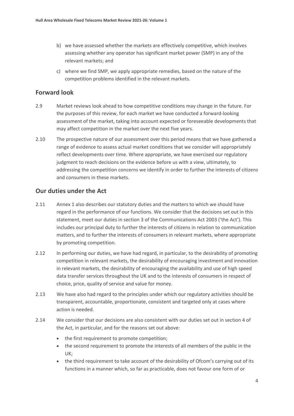- b) we have assessed whether the markets are effectively competitive, which involves assessing whether any operator has significant market power (SMP) in any of the relevant markets; and
- c) where we find SMP, we apply appropriate remedies, based on the nature of the competition problems identified in the relevant markets.

### **Forward look**

- 2.9 Market reviews look ahead to how competitive conditions may change in the future. For the purposes of this review, for each market we have conducted a forward-looking assessment of the market, taking into account expected or foreseeable developments that may affect competition in the market over the next five years.
- 2.10 The prospective nature of our assessment over this period means that we have gathered a range of evidence to assess actual market conditions that we consider will appropriately reflect developments over time. Where appropriate, we have exercised our regulatory judgment to reach decisions on the evidence before us with a view, ultimately, to addressing the competition concerns we identify in order to further the interests of citizens and consumers in these markets.

#### **Our duties under the Act**

- 2.11 Annex 1 also describes our statutory duties and the matters to which we should have regard in the performance of our functions. We consider that the decisions set out in this statement, meet our duties in section 3 of the Communications Act 2003 ('the Act'). This includes our principal duty to further the interests of citizens in relation to communication matters, and to further the interests of consumers in relevant markets, where appropriate by promoting competition.
- 2.12 In performing our duties, we have had regard, in particular, to the desirability of promoting competition in relevant markets, the desirability of encouraging investment and innovation in relevant markets, the desirability of encouraging the availability and use of high speed data transfer services throughout the UK and to the interests of consumers in respect of choice, price, quality of service and value for money.
- 2.13 We have also had regard to the principles under which our regulatory activities should be transparent, accountable, proportionate, consistent and targeted only at cases where action is needed.
- 2.14 We consider that our decisions are also consistent with our duties set out in section 4 of the Act, in particular, and for the reasons set out above:
	- the first requirement to promote competition;
	- the second requirement to promote the interests of all members of the public in the UK;
	- the third requirement to take account of the desirability of Ofcom's carrying out of its functions in a manner which, so far as practicable, does not favour one form of or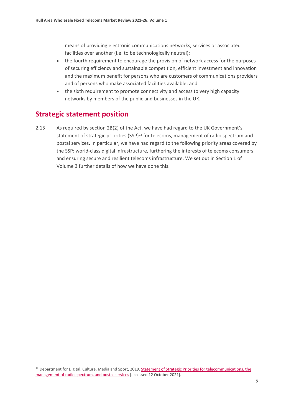means of providing electronic communications networks, services or associated facilities over another (i.e. to be technologically neutral);

- the fourth requirement to encourage the provision of network access for the purposes of securing efficiency and sustainable competition, efficient investment and innovation and the maximum benefit for persons who are customers of communications providers and of persons who make associated facilities available; and
- the sixth requirement to promote connectivity and access to very high capacity networks by members of the public and businesses in the UK.

## **Strategic statement position**

2.15 As required by section 2B(2) of the Act, we have had regard to the UK Government's statement of strategic priorities (SSP)<sup>[12](#page-6-0)</sup> for telecoms, management of radio spectrum and postal services. In particular, we have had regard to the following priority areas covered by the SSP: world-class digital infrastructure, furthering the interests of telecoms consumers and ensuring secure and resilient telecoms infrastructure. We set out in Section 1 of Volume 3 further details of how we have done this.

<span id="page-6-0"></span><sup>&</sup>lt;sup>12</sup> Department for Digital, Culture, Media and Sport, 2019. Statement of Strategic Priorities for telecommunications, the [management of radio spectrum, and postal services \[](https://assets.publishing.service.gov.uk/government/uploads/system/uploads/attachment_data/file/842918/SSP_-_as_designated_by_S_of_S_.pdf)accessed 12 October 2021].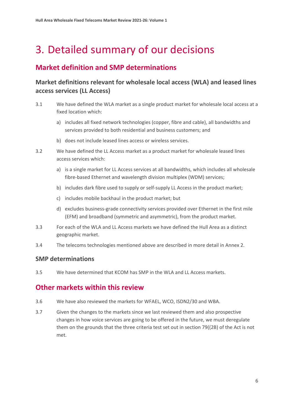# <span id="page-7-0"></span>3. Detailed summary of our decisions

## **Market definition and SMP determinations**

## **Market definitions relevant for wholesale local access (WLA) and leased lines access services (LL Access)**

- 3.1 We have defined the WLA market as a single product market for wholesale local access at a fixed location which:
	- a) includes all fixed network technologies (copper, fibre and cable), all bandwidths and services provided to both residential and business customers; and
	- b) does not include leased lines access or wireless services.
- 3.2 We have defined the LL Access market as a product market for wholesale leased lines access services which:
	- a) is a single market for LL Access services at all bandwidths, which includes all wholesale fibre-based Ethernet and wavelength division multiplex (WDM) services;
	- b) includes dark fibre used to supply or self-supply LL Access in the product market;
	- c) includes mobile backhaul in the product market; but
	- d) excludes business-grade connectivity services provided over Ethernet in the first mile (EFM) and broadband (symmetric and asymmetric), from the product market.
- 3.3 For each of the WLA and LL Access markets we have defined the Hull Area as a distinct geographic market.
- 3.4 The telecoms technologies mentioned above are described in more detail in Annex 2.

### **SMP determinations**

3.5 We have determined that KCOM has SMP in the WLA and LL Access markets.

### **Other markets within this review**

- 3.6 We have also reviewed the markets for WFAEL, WCO, ISDN2/30 and WBA.
- 3.7 Given the changes to the markets since we last reviewed them and also prospective changes in how voice services are going to be offered in the future, we must deregulate them on the grounds that the three criteria test set out in section 79((2B) of the Act is not met.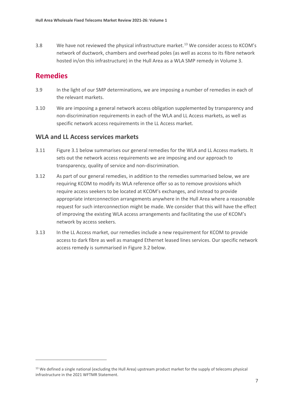3.8 We have not reviewed the physical infrastructure market.<sup>[13](#page-8-0)</sup> We consider access to KCOM's network of ductwork, chambers and overhead poles (as well as access to its fibre network hosted in/on this infrastructure) in the Hull Area as a WLA SMP remedy in Volume 3.

## **Remedies**

- 3.9 In the light of our SMP determinations, we are imposing a number of remedies in each of the relevant markets.
- 3.10 We are imposing a general network access obligation supplemented by transparency and non-discrimination requirements in each of the WLA and LL Access markets, as well as specific network access requirements in the LL Access market.

### **WLA and LL Access services markets**

- 3.11 Figure 3.1 below summarises our general remedies for the WLA and LL Access markets. It sets out the network access requirements we are imposing and our approach to transparency, quality of service and non-discrimination.
- 3.12 As part of our general remedies, in addition to the remedies summarised below, we are requiring KCOM to modify its WLA reference offer so as to remove provisions which require access seekers to be located at KCOM's exchanges, and instead to provide appropriate interconnection arrangements anywhere in the Hull Area where a reasonable request for such interconnection might be made. We consider that this will have the effect of improving the existing WLA access arrangements and facilitating the use of KCOM's network by access seekers.
- 3.13 In the LL Access market, our remedies include a new requirement for KCOM to provide access to dark fibre as well as managed Ethernet leased lines services. Our specific network access remedy is summarised in Figure 3.2 below.

<span id="page-8-0"></span><sup>&</sup>lt;sup>13</sup> We defined a single national (excluding the Hull Area) upstream product market for the supply of telecoms physical infrastructure in the 2021 WFTMR Statement.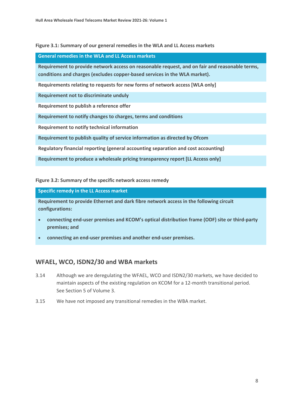#### **Figure 3.1: Summary of our general remedies in the WLA and LL Access markets**

#### **General remedies in the WLA and LL Access markets**

**Requirement to provide network access on reasonable request, and on fair and reasonable terms, conditions and charges (excludes copper-based services in the WLA market).**

**Requirements relating to requests for new forms of network access [WLA only]**

**Requirement not to discriminate unduly**

**Requirement to publish a reference offer**

**Requirement to notify changes to charges, terms and conditions**

**Requirement to notify technical information**

**Requirement to publish quality of service information as directed by Ofcom**

**Regulatory financial reporting (general accounting separation and cost accounting)**

**Requirement to produce a wholesale pricing transparency report [LL Access only]**

**Figure 3.2: Summary of the specific network access remedy** 

#### **Specific remedy in the LL Access market**

**Requirement to provide Ethernet and dark fibre network access in the following circuit configurations:**

- **connecting end-user premises and KCOM's optical distribution frame (ODF) site or third-party premises; and**
- **connecting an end-user premises and another end-user premises.**

### **WFAEL, WCO, ISDN2/30 and WBA markets**

- 3.14 Although we are deregulating the WFAEL, WCO and ISDN2/30 markets, we have decided to maintain aspects of the existing regulation on KCOM for a 12-month transitional period. See Section 5 of Volume 3.
- 3.15 We have not imposed any transitional remedies in the WBA market.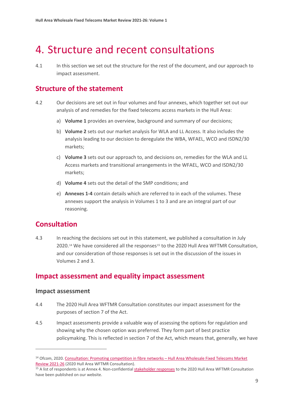## <span id="page-10-0"></span>4. Structure and recent consultations

4.1 In this section we set out the structure for the rest of the document, and our approach to impact assessment.

## **Structure of the statement**

- 4.2 Our decisions are set out in four volumes and four annexes, which together set out our analysis of and remedies for the fixed telecoms access markets in the Hull Area:
	- a) **Volume 1** provides an overview, background and summary of our decisions;
	- b) **Volume 2** sets out our market analysis for WLA and LL Access. It also includes the analysis leading to our decision to deregulate the WBA, WFAEL, WCO and ISDN2/30 markets;
	- c) **Volume 3** sets out our approach to, and decisions on, remedies for the WLA and LL Access markets and transitional arrangements in the WFAEL, WCO and ISDN2/30 markets;
	- d) **Volume 4** sets out the detail of the SMP conditions; and
	- e) **Annexes 1-4** contain details which are referred to in each of the volumes. These annexes support the analysis in Volumes 1 to 3 and are an integral part of our reasoning.

## **Consultation**

4.3 In reaching the decisions set out in this statement, we published a consultation in July 2020.<sup>[14](#page-10-1)</sup> We have considered all the responses<sup>[15](#page-10-2)</sup> to the 2020 Hull Area WFTMR Consultation, and our consideration of those responses is set out in the discussion of the issues in Volumes 2 and 3.

## **Impact assessment and equality impact assessment**

#### **Impact assessment**

- 4.4 The 2020 Hull Area WFTMR Consultation constitutes our impact assessment for the purposes of section 7 of the Act.
- 4.5 Impact assessments provide a valuable way of assessing the options for regulation and showing why the chosen option was preferred. They form part of best practice policymaking. This is reflected in section 7 of the Act, which means that, generally, we have

<span id="page-10-1"></span><sup>&</sup>lt;sup>14</sup> Ofcom, 2020. Consultation: Promoting competition in fibre networks – Hull Area Wholesale Fixed Telecoms Market Review 2021-26 [\(](https://www.ofcom.org.uk/consultations-and-statements/category-1/2021-26-hull-area-wholesale-fixed-telecoms-market-review)2020 Hull Area WFTMR Consultation).<br><sup>15</sup> A list of respondents is at Annex 4. Non-confidential [stakeholder responses](https://www.ofcom.org.uk/consultations-and-statements/category-1/2021-26-hull-area-wholesale-fixed-telecoms-market-review) to the 2020 Hull Area WFTMR Consultation

<span id="page-10-2"></span>have been published on our website.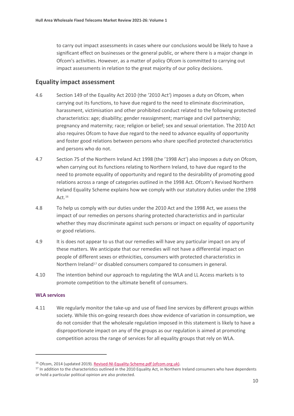to carry out impact assessments in cases where our conclusions would be likely to have a significant effect on businesses or the general public, or where there is a major change in Ofcom's activities. However, as a matter of policy Ofcom is committed to carrying out impact assessments in relation to the great majority of our policy decisions.

#### **Equality impact assessment**

- 4.6 Section 149 of the Equality Act 2010 (the '2010 Act') imposes a duty on Ofcom, when carrying out its functions, to have due regard to the need to eliminate discrimination, harassment, victimisation and other prohibited conduct related to the following protected characteristics: age; disability; gender reassignment; marriage and civil partnership; pregnancy and maternity; race; religion or belief; sex and sexual orientation. The 2010 Act also requires Ofcom to have due regard to the need to advance equality of opportunity and foster good relations between persons who share specified protected characteristics and persons who do not.
- 4.7 Section 75 of the Northern Ireland Act 1998 (the '1998 Act') also imposes a duty on Ofcom, when carrying out its functions relating to Northern Ireland, to have due regard to the need to promote equality of opportunity and regard to the desirability of promoting good relations across a range of categories outlined in the 1998 Act. Ofcom's Revised Northern Ireland Equality Scheme explains how we comply with our statutory duties under the 1998 Act.<sup>16</sup>
- 4.8 To help us comply with our duties under the 2010 Act and the 1998 Act, we assess the impact of our remedies on persons sharing protected characteristics and in particular whether they may discriminate against such persons or impact on equality of opportunity or good relations.
- 4.9 It is does not appear to us that our remedies will have any particular impact on any of these matters. We anticipate that our remedies will not have a differential impact on people of different sexes or ethnicities, consumers with protected characteristics in Northern Ireland<sup>[17](#page-11-1)</sup> or disabled consumers compared to consumers in general.
- 4.10 The intention behind our approach to regulating the WLA and LL Access markets is to promote competition to the ultimate benefit of consumers.

#### **WLA services**

4.11 We regularly monitor the take-up and use of fixed line services by different groups within society. While this on-going research does show evidence of variation in consumption, we do not consider that the wholesale regulation imposed in this statement is likely to have a disproportionate impact on any of the groups as our regulation is aimed at promoting competition across the range of services for all equality groups that rely on WLA.

<span id="page-11-1"></span><span id="page-11-0"></span><sup>&</sup>lt;sup>16</sup> Ofcom, 2014 (updated 2019). <u>Revised-NI-Equality-Scheme.pdf (ofcom.org.uk)</u>.<br><sup>17</sup> In addition to the characteristics outlined in the 2010 Equality Act, in Northern Ireland consumers who have dependents or hold a particular political opinion are also protected.